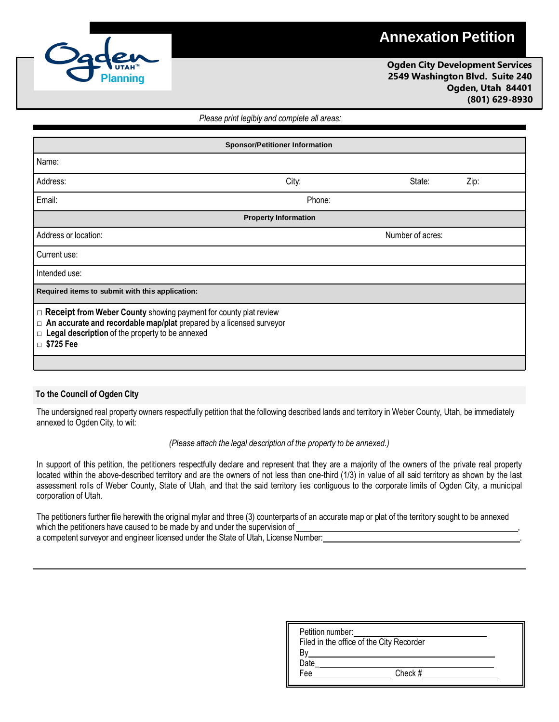## **Annexation Petition**



**Ogden City Development Services 2549 Washington Blvd. Suite 240 Ogden, Utah 84401 (801) 629-8930**

## *Please print legibly and complete all areas:*

| <b>Sponsor/Petitioner Information</b>                                                                                                                                                                                          |        |                  |      |  |  |  |
|--------------------------------------------------------------------------------------------------------------------------------------------------------------------------------------------------------------------------------|--------|------------------|------|--|--|--|
| Name:                                                                                                                                                                                                                          |        |                  |      |  |  |  |
| Address:                                                                                                                                                                                                                       | City:  | State:           | Zip: |  |  |  |
| Email:                                                                                                                                                                                                                         | Phone: |                  |      |  |  |  |
| <b>Property Information</b>                                                                                                                                                                                                    |        |                  |      |  |  |  |
| Address or location:                                                                                                                                                                                                           |        | Number of acres: |      |  |  |  |
| Current use:                                                                                                                                                                                                                   |        |                  |      |  |  |  |
| Intended use:                                                                                                                                                                                                                  |        |                  |      |  |  |  |
| Required items to submit with this application:                                                                                                                                                                                |        |                  |      |  |  |  |
| $\Box$ Receipt from Weber County showing payment for county plat review<br>$\Box$ An accurate and recordable map/plat prepared by a licensed surveyor<br>$\Box$ Legal description of the property to be annexed<br>□ \$725 Fee |        |                  |      |  |  |  |

## **To the Council of Ogden City**

The undersigned real property owners respectfully petition that the following described lands and territory in Weber County, Utah, be immediately annexed to Ogden City, to wit:

## *(Please attach the legal description of the property to be annexed.)*

In support of this petition, the petitioners respectfully declare and represent that they are a majority of the owners of the private real property located within the above-described territory and are the owners of not less than one-third (1/3) in value of all said territory as shown by the last assessment rolls of Weber County, State of Utah, and that the said territory lies contiguous to the corporate limits of Ogden City, a municipal corporation of Utah.

The petitioners further file herewith the original mylar and three (3) counterparts of an accurate map or plat of the territory sought to be annexed which the petitioners have caused to be made by and under the supervision of a competent surveyor and engineer licensed under the State of Utah, License Number:

| Petition number: |                                          |  |
|------------------|------------------------------------------|--|
|                  | Filed in the office of the City Recorder |  |
|                  |                                          |  |
| Date             |                                          |  |
| Fee              | Check #                                  |  |
|                  |                                          |  |